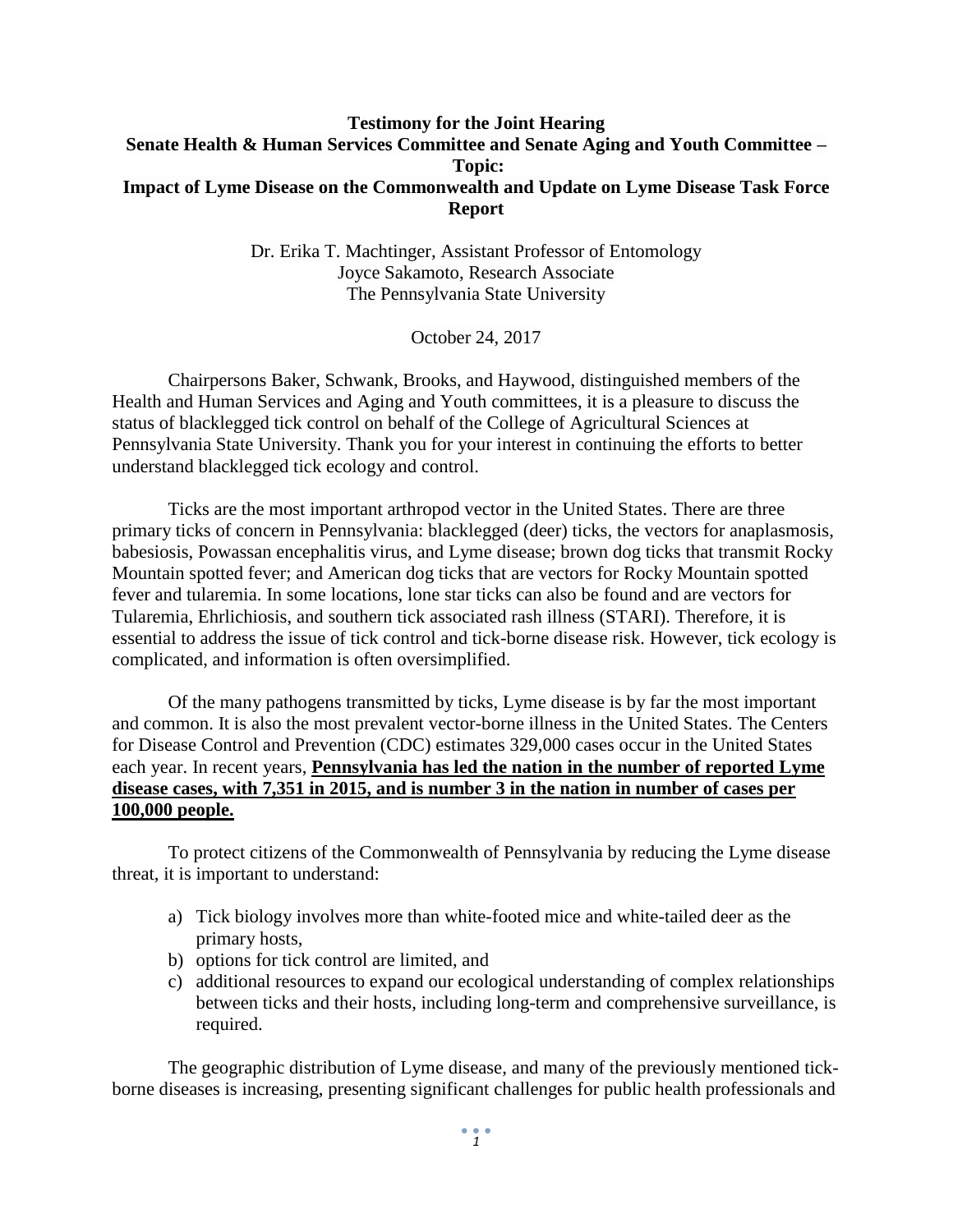## **Testimony for the Joint Hearing Senate Health & Human Services Committee and Senate Aging and Youth Committee – Topic: Impact of Lyme Disease on the Commonwealth and Update on Lyme Disease Task Force Report**

Dr. Erika T. Machtinger, Assistant Professor of Entomology Joyce Sakamoto, Research Associate The Pennsylvania State University

October 24, 2017

Chairpersons Baker, Schwank, Brooks, and Haywood, distinguished members of the Health and Human Services and Aging and Youth committees, it is a pleasure to discuss the status of blacklegged tick control on behalf of the College of Agricultural Sciences at Pennsylvania State University. Thank you for your interest in continuing the efforts to better understand blacklegged tick ecology and control.

Ticks are the most important arthropod vector in the United States. There are three primary ticks of concern in Pennsylvania: blacklegged (deer) ticks, the vectors for anaplasmosis, babesiosis, Powassan encephalitis virus, and Lyme disease; brown dog ticks that transmit Rocky Mountain spotted fever; and American dog ticks that are vectors for Rocky Mountain spotted fever and tularemia. In some locations, lone star ticks can also be found and are vectors for Tularemia, Ehrlichiosis, and southern tick associated rash illness (STARI). Therefore, it is essential to address the issue of tick control and tick-borne disease risk. However, tick ecology is complicated, and information is often oversimplified.

Of the many pathogens transmitted by ticks, Lyme disease is by far the most important and common. It is also the most prevalent vector-borne illness in the United States. The Centers for Disease Control and Prevention (CDC) estimates 329,000 cases occur in the United States each year. In recent years, **Pennsylvania has led the nation in the number of reported Lyme disease cases, with 7,351 in 2015, and is number 3 in the nation in number of cases per 100,000 people.**

To protect citizens of the Commonwealth of Pennsylvania by reducing the Lyme disease threat, it is important to understand:

- a) Tick biology involves more than white-footed mice and white-tailed deer as the primary hosts,
- b) options for tick control are limited, and
- c) additional resources to expand our ecological understanding of complex relationships between ticks and their hosts, including long-term and comprehensive surveillance, is required.

The geographic distribution of Lyme disease, and many of the previously mentioned tickborne diseases is increasing, presenting significant challenges for public health professionals and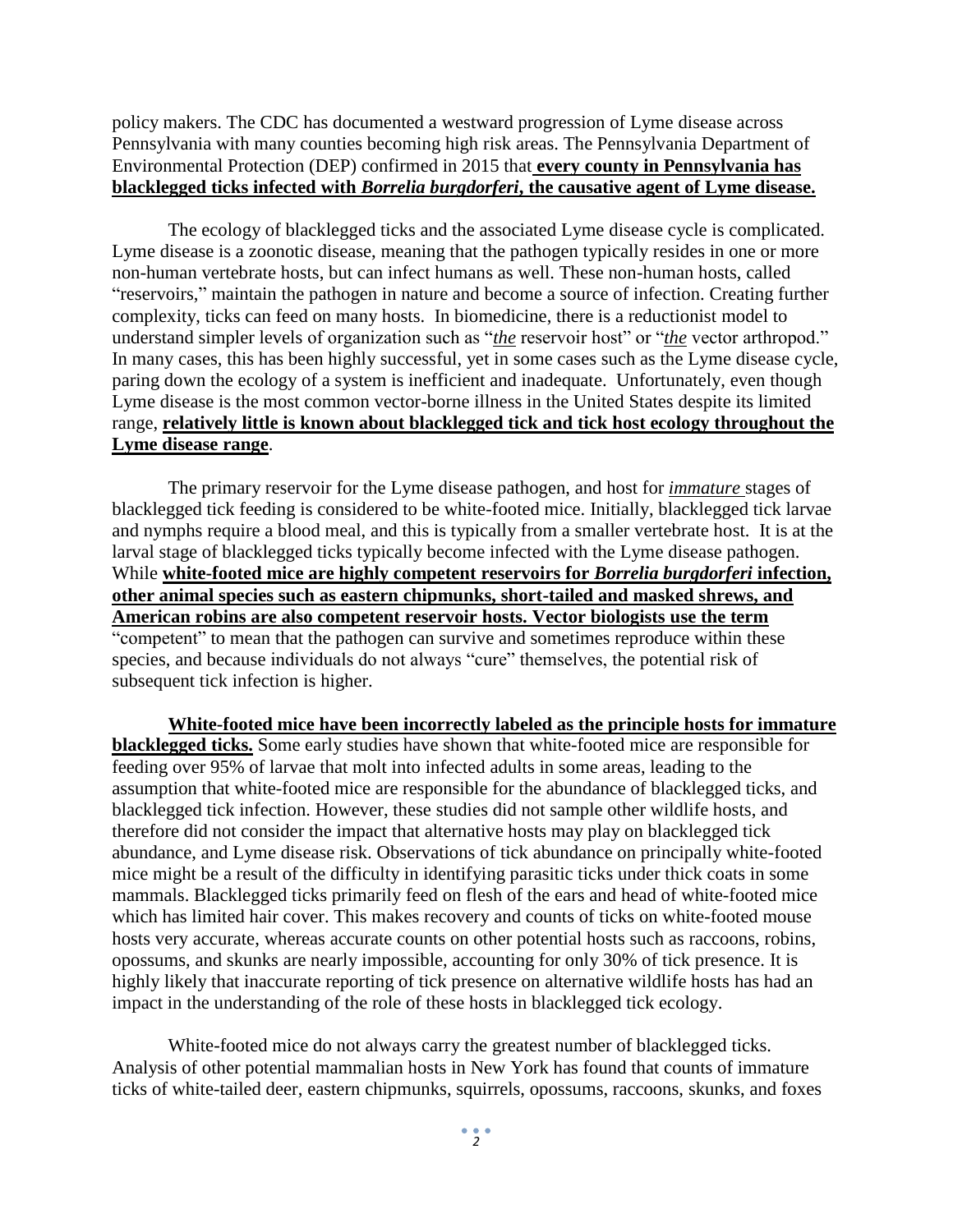policy makers. The CDC has documented a westward progression of Lyme disease across Pennsylvania with many counties becoming high risk areas. The Pennsylvania Department of Environmental Protection (DEP) confirmed in 2015 that **every county in Pennsylvania has blacklegged ticks infected with** *Borrelia burgdorferi***, the causative agent of Lyme disease.** 

The ecology of blacklegged ticks and the associated Lyme disease cycle is complicated. Lyme disease is a zoonotic disease, meaning that the pathogen typically resides in one or more non-human vertebrate hosts, but can infect humans as well. These non-human hosts, called "reservoirs," maintain the pathogen in nature and become a source of infection. Creating further complexity, ticks can feed on many hosts. In biomedicine, there is a reductionist model to understand simpler levels of organization such as "*the* reservoir host" or "*the* vector arthropod." In many cases, this has been highly successful, yet in some cases such as the Lyme disease cycle, paring down the ecology of a system is inefficient and inadequate. Unfortunately, even though Lyme disease is the most common vector-borne illness in the United States despite its limited range, **relatively little is known about blacklegged tick and tick host ecology throughout the Lyme disease range**.

The primary reservoir for the Lyme disease pathogen, and host for *immature* stages of blacklegged tick feeding is considered to be white-footed mice. Initially, blacklegged tick larvae and nymphs require a blood meal, and this is typically from a smaller vertebrate host. It is at the larval stage of blacklegged ticks typically become infected with the Lyme disease pathogen. While **white-footed mice are highly competent reservoirs for** *Borrelia burgdorferi* **infection, other animal species such as eastern chipmunks, short-tailed and masked shrews, and American robins are also competent reservoir hosts. Vector biologists use the term**  "competent" to mean that the pathogen can survive and sometimes reproduce within these species, and because individuals do not always "cure" themselves, the potential risk of subsequent tick infection is higher.

**White-footed mice have been incorrectly labeled as the principle hosts for immature blacklegged ticks.** Some early studies have shown that white-footed mice are responsible for feeding over 95% of larvae that molt into infected adults in some areas, leading to the assumption that white-footed mice are responsible for the abundance of blacklegged ticks, and blacklegged tick infection. However, these studies did not sample other wildlife hosts, and therefore did not consider the impact that alternative hosts may play on blacklegged tick abundance, and Lyme disease risk. Observations of tick abundance on principally white-footed mice might be a result of the difficulty in identifying parasitic ticks under thick coats in some mammals. Blacklegged ticks primarily feed on flesh of the ears and head of white-footed mice which has limited hair cover. This makes recovery and counts of ticks on white-footed mouse hosts very accurate, whereas accurate counts on other potential hosts such as raccoons, robins, opossums, and skunks are nearly impossible, accounting for only 30% of tick presence. It is highly likely that inaccurate reporting of tick presence on alternative wildlife hosts has had an impact in the understanding of the role of these hosts in blacklegged tick ecology.

White-footed mice do not always carry the greatest number of blacklegged ticks. Analysis of other potential mammalian hosts in New York has found that counts of immature ticks of white-tailed deer, eastern chipmunks, squirrels, opossums, raccoons, skunks, and foxes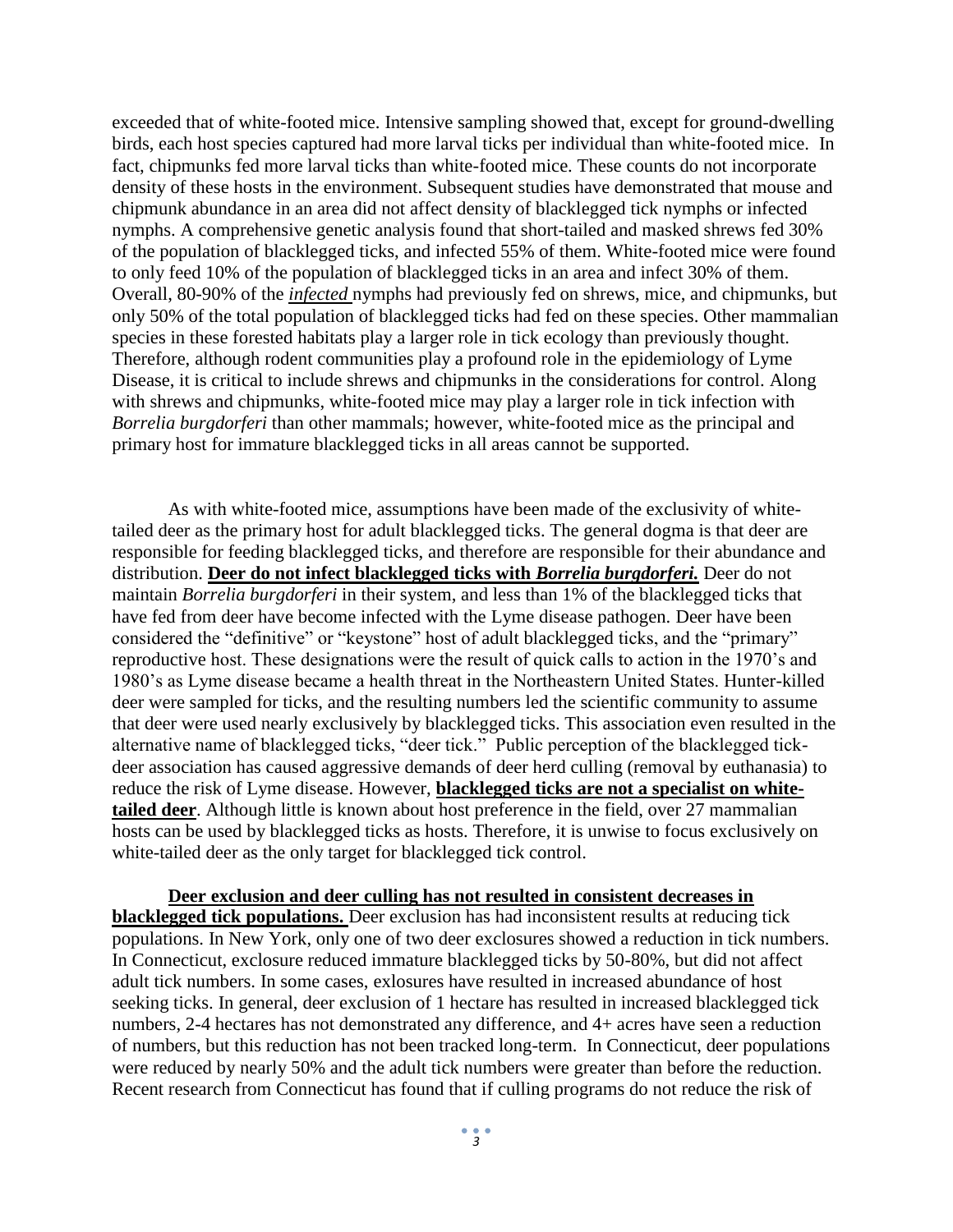exceeded that of white-footed mice. Intensive sampling showed that, except for ground-dwelling birds, each host species captured had more larval ticks per individual than white-footed mice. In fact, chipmunks fed more larval ticks than white-footed mice. These counts do not incorporate density of these hosts in the environment. Subsequent studies have demonstrated that mouse and chipmunk abundance in an area did not affect density of blacklegged tick nymphs or infected nymphs. A comprehensive genetic analysis found that short-tailed and masked shrews fed 30% of the population of blacklegged ticks, and infected 55% of them. White-footed mice were found to only feed 10% of the population of blacklegged ticks in an area and infect 30% of them. Overall, 80-90% of the *infected* nymphs had previously fed on shrews, mice, and chipmunks, but only 50% of the total population of blacklegged ticks had fed on these species. Other mammalian species in these forested habitats play a larger role in tick ecology than previously thought. Therefore, although rodent communities play a profound role in the epidemiology of Lyme Disease, it is critical to include shrews and chipmunks in the considerations for control. Along with shrews and chipmunks, white-footed mice may play a larger role in tick infection with *Borrelia burgdorferi* than other mammals; however, white-footed mice as the principal and primary host for immature blacklegged ticks in all areas cannot be supported.

As with white-footed mice, assumptions have been made of the exclusivity of whitetailed deer as the primary host for adult blacklegged ticks. The general dogma is that deer are responsible for feeding blacklegged ticks, and therefore are responsible for their abundance and distribution. **Deer do not infect blacklegged ticks with** *Borrelia burgdorferi.* Deer do not maintain *Borrelia burgdorferi* in their system, and less than 1% of the blacklegged ticks that have fed from deer have become infected with the Lyme disease pathogen. Deer have been considered the "definitive" or "keystone" host of adult blacklegged ticks, and the "primary" reproductive host. These designations were the result of quick calls to action in the 1970's and 1980's as Lyme disease became a health threat in the Northeastern United States. Hunter-killed deer were sampled for ticks, and the resulting numbers led the scientific community to assume that deer were used nearly exclusively by blacklegged ticks. This association even resulted in the alternative name of blacklegged ticks, "deer tick." Public perception of the blacklegged tickdeer association has caused aggressive demands of deer herd culling (removal by euthanasia) to reduce the risk of Lyme disease. However, **blacklegged ticks are not a specialist on whitetailed deer**. Although little is known about host preference in the field, over 27 mammalian hosts can be used by blacklegged ticks as hosts. Therefore, it is unwise to focus exclusively on white-tailed deer as the only target for blacklegged tick control.

**Deer exclusion and deer culling has not resulted in consistent decreases in blacklegged tick populations.** Deer exclusion has had inconsistent results at reducing tick populations. In New York, only one of two deer exclosures showed a reduction in tick numbers. In Connecticut, exclosure reduced immature blacklegged ticks by 50-80%, but did not affect adult tick numbers. In some cases, exlosures have resulted in increased abundance of host seeking ticks. In general, deer exclusion of 1 hectare has resulted in increased blacklegged tick numbers, 2-4 hectares has not demonstrated any difference, and 4+ acres have seen a reduction of numbers, but this reduction has not been tracked long-term. In Connecticut, deer populations were reduced by nearly 50% and the adult tick numbers were greater than before the reduction. Recent research from Connecticut has found that if culling programs do not reduce the risk of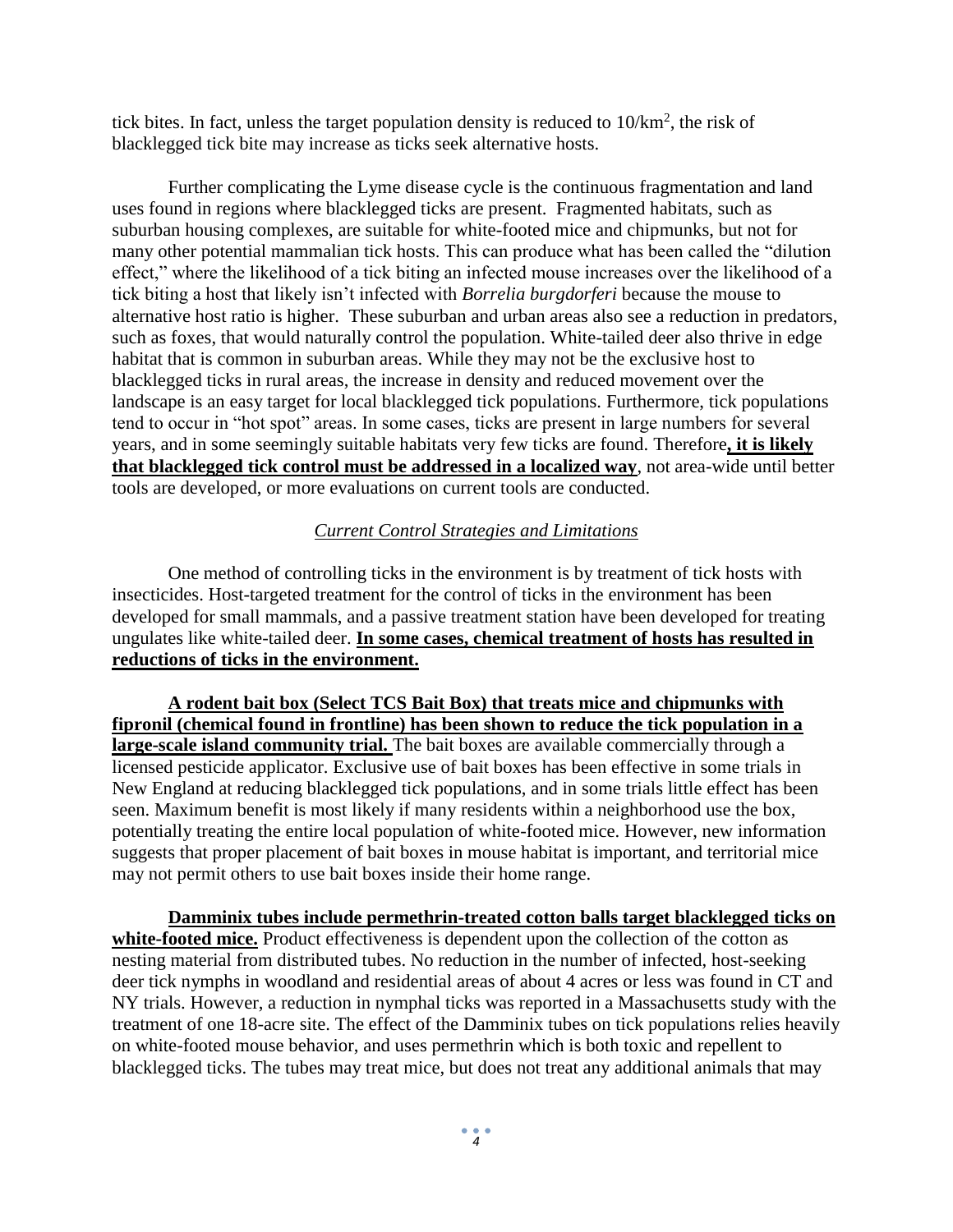tick bites. In fact, unless the target population density is reduced to  $10/km^2$ , the risk of blacklegged tick bite may increase as ticks seek alternative hosts.

Further complicating the Lyme disease cycle is the continuous fragmentation and land uses found in regions where blacklegged ticks are present. Fragmented habitats, such as suburban housing complexes, are suitable for white-footed mice and chipmunks, but not for many other potential mammalian tick hosts. This can produce what has been called the "dilution effect," where the likelihood of a tick biting an infected mouse increases over the likelihood of a tick biting a host that likely isn't infected with *Borrelia burgdorferi* because the mouse to alternative host ratio is higher. These suburban and urban areas also see a reduction in predators, such as foxes, that would naturally control the population. White-tailed deer also thrive in edge habitat that is common in suburban areas. While they may not be the exclusive host to blacklegged ticks in rural areas, the increase in density and reduced movement over the landscape is an easy target for local blacklegged tick populations. Furthermore, tick populations tend to occur in "hot spot" areas. In some cases, ticks are present in large numbers for several years, and in some seemingly suitable habitats very few ticks are found. Therefore**, it is likely that blacklegged tick control must be addressed in a localized way**, not area-wide until better tools are developed, or more evaluations on current tools are conducted.

## *Current Control Strategies and Limitations*

One method of controlling ticks in the environment is by treatment of tick hosts with insecticides. Host-targeted treatment for the control of ticks in the environment has been developed for small mammals, and a passive treatment station have been developed for treating ungulates like white-tailed deer. **In some cases, chemical treatment of hosts has resulted in reductions of ticks in the environment.**

**A rodent bait box (Select TCS Bait Box) that treats mice and chipmunks with fipronil (chemical found in frontline) has been shown to reduce the tick population in a large-scale island community trial.** The bait boxes are available commercially through a licensed pesticide applicator. Exclusive use of bait boxes has been effective in some trials in New England at reducing blacklegged tick populations, and in some trials little effect has been seen. Maximum benefit is most likely if many residents within a neighborhood use the box, potentially treating the entire local population of white-footed mice. However, new information suggests that proper placement of bait boxes in mouse habitat is important, and territorial mice may not permit others to use bait boxes inside their home range.

**Damminix tubes include permethrin-treated cotton balls target blacklegged ticks on**  white-footed mice. Product effectiveness is dependent upon the collection of the cotton as nesting material from distributed tubes. No reduction in the number of infected, host-seeking deer tick nymphs in woodland and residential areas of about 4 acres or less was found in CT and NY trials. However, a reduction in nymphal ticks was reported in a Massachusetts study with the treatment of one 18-acre site. The effect of the Damminix tubes on tick populations relies heavily on white-footed mouse behavior, and uses permethrin which is both toxic and repellent to blacklegged ticks. The tubes may treat mice, but does not treat any additional animals that may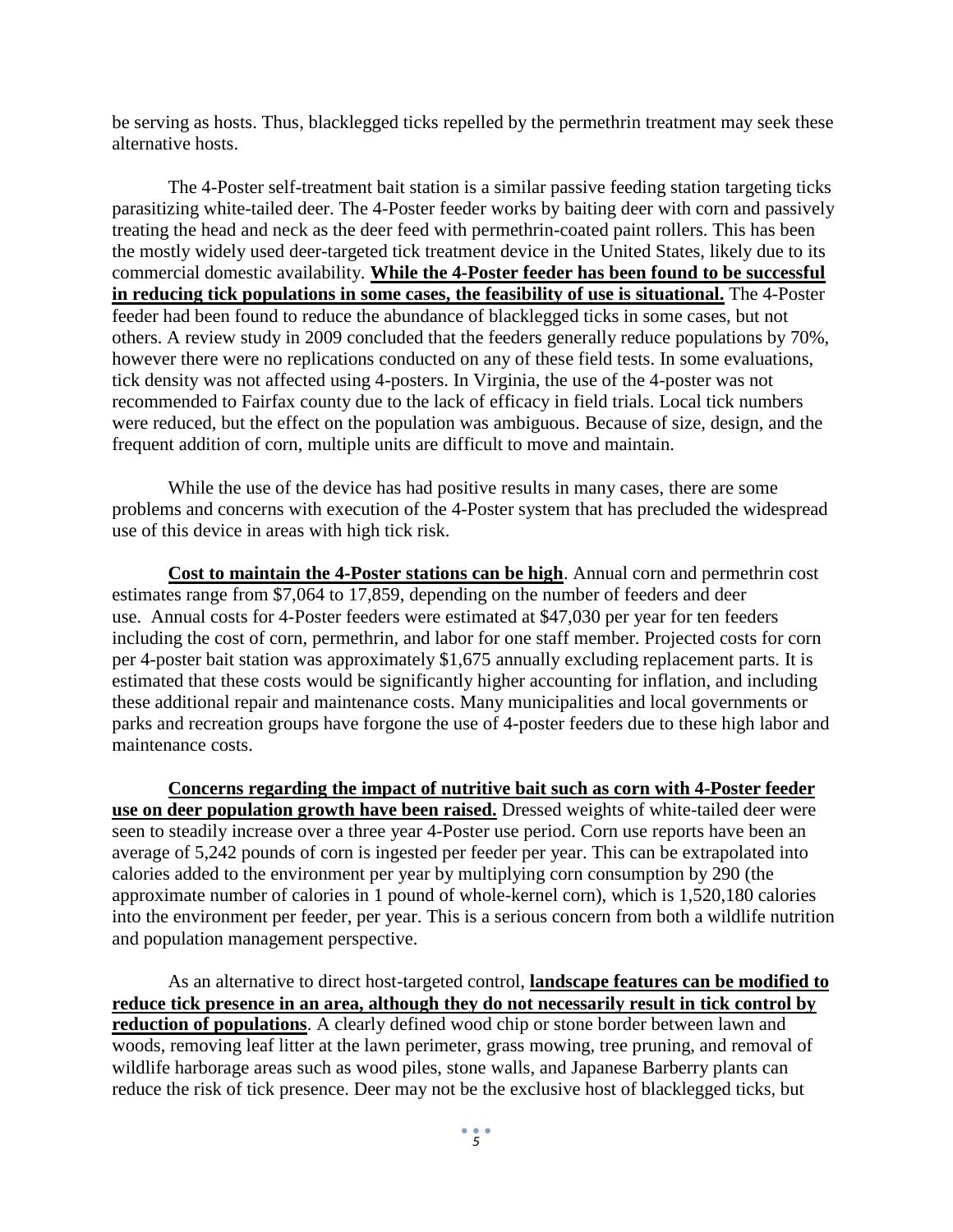be serving as hosts. Thus, blacklegged ticks repelled by the permethrin treatment may seek these alternative hosts.

The 4-Poster self-treatment bait station is a similar passive feeding station targeting ticks parasitizing white-tailed deer. The 4-Poster feeder works by baiting deer with corn and passively treating the head and neck as the deer feed with permethrin-coated paint rollers. This has been the mostly widely used deer-targeted tick treatment device in the United States, likely due to its commercial domestic availability. **While the 4-Poster feeder has been found to be successful in reducing tick populations in some cases, the feasibility of use is situational.** The 4-Poster feeder had been found to reduce the abundance of blacklegged ticks in some cases, but not others. A review study in 2009 concluded that the feeders generally reduce populations by 70%, however there were no replications conducted on any of these field tests. In some evaluations, tick density was not affected using 4-posters. In Virginia, the use of the 4-poster was not recommended to Fairfax county due to the lack of efficacy in field trials. Local tick numbers were reduced, but the effect on the population was ambiguous. Because of size, design, and the frequent addition of corn, multiple units are difficult to move and maintain.

While the use of the device has had positive results in many cases, there are some problems and concerns with execution of the 4-Poster system that has precluded the widespread use of this device in areas with high tick risk.

**Cost to maintain the 4-Poster stations can be high**. Annual corn and permethrin cost estimates range from \$7,064 to 17,859, depending on the number of feeders and deer use. Annual costs for 4-Poster feeders were estimated at \$47,030 per year for ten feeders including the cost of corn, permethrin, and labor for one staff member. Projected costs for corn per 4-poster bait station was approximately \$1,675 annually excluding replacement parts. It is estimated that these costs would be significantly higher accounting for inflation, and including these additional repair and maintenance costs. Many municipalities and local governments or parks and recreation groups have forgone the use of 4-poster feeders due to these high labor and maintenance costs.

**Concerns regarding the impact of nutritive bait such as corn with 4-Poster feeder use on deer population growth have been raised.** Dressed weights of white-tailed deer were seen to steadily increase over a three year 4-Poster use period. Corn use reports have been an average of 5,242 pounds of corn is ingested per feeder per year. This can be extrapolated into calories added to the environment per year by multiplying corn consumption by 290 (the approximate number of calories in 1 pound of whole-kernel corn), which is 1,520,180 calories into the environment per feeder, per year. This is a serious concern from both a wildlife nutrition and population management perspective.

As an alternative to direct host-targeted control, **landscape features can be modified to reduce tick presence in an area, although they do not necessarily result in tick control by reduction of populations**. A clearly defined wood chip or stone border between lawn and woods, removing leaf litter at the lawn perimeter, grass mowing, tree pruning, and removal of wildlife harborage areas such as wood piles, stone walls, and Japanese Barberry plants can reduce the risk of tick presence. Deer may not be the exclusive host of blacklegged ticks, but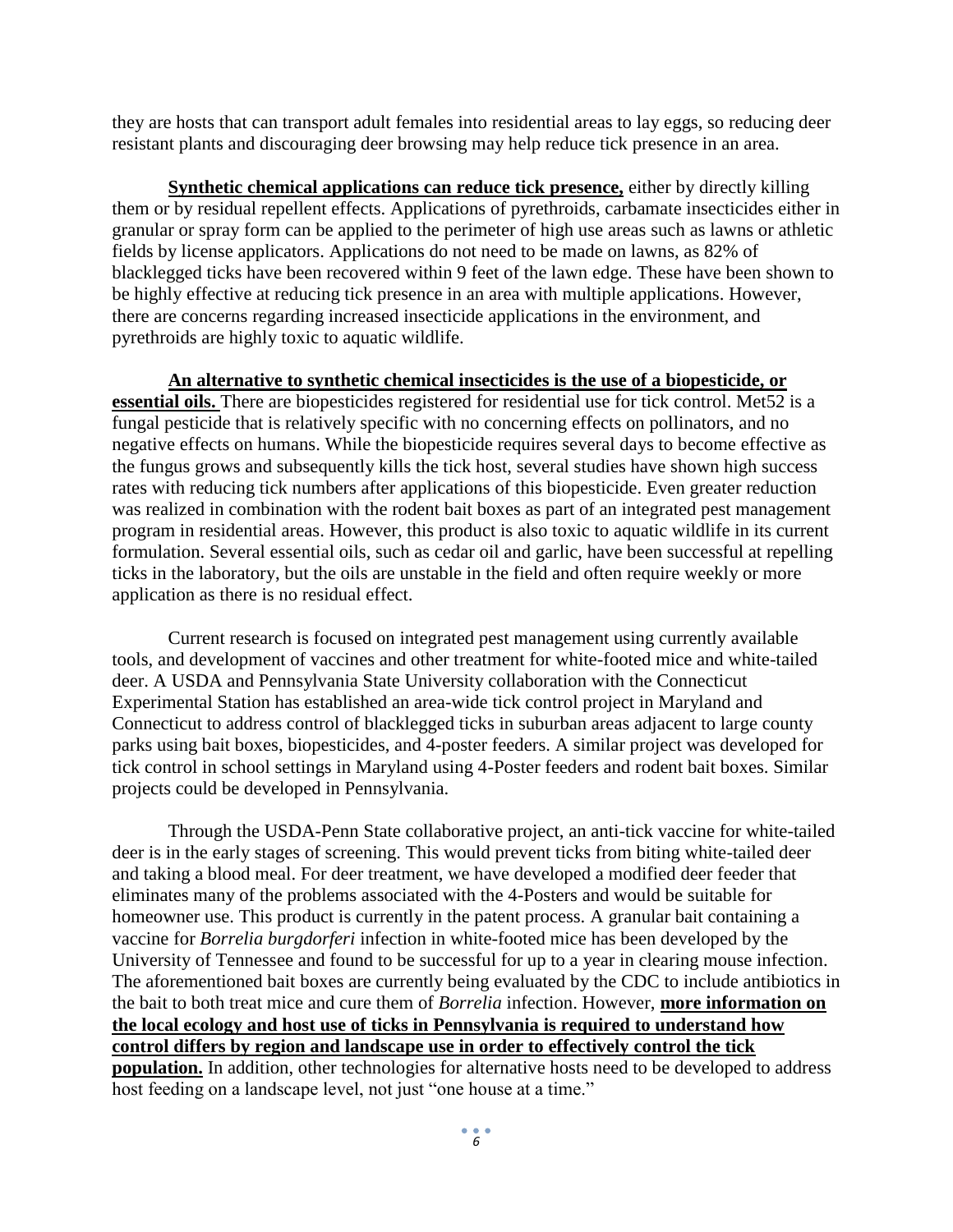they are hosts that can transport adult females into residential areas to lay eggs, so reducing deer resistant plants and discouraging deer browsing may help reduce tick presence in an area.

**Synthetic chemical applications can reduce tick presence,** either by directly killing them or by residual repellent effects. Applications of pyrethroids, carbamate insecticides either in granular or spray form can be applied to the perimeter of high use areas such as lawns or athletic fields by license applicators. Applications do not need to be made on lawns, as 82% of blacklegged ticks have been recovered within 9 feet of the lawn edge. These have been shown to be highly effective at reducing tick presence in an area with multiple applications. However, there are concerns regarding increased insecticide applications in the environment, and pyrethroids are highly toxic to aquatic wildlife.

**An alternative to synthetic chemical insecticides is the use of a biopesticide, or essential oils.** There are biopesticides registered for residential use for tick control. Met52 is a fungal pesticide that is relatively specific with no concerning effects on pollinators, and no negative effects on humans. While the biopesticide requires several days to become effective as the fungus grows and subsequently kills the tick host, several studies have shown high success rates with reducing tick numbers after applications of this biopesticide. Even greater reduction was realized in combination with the rodent bait boxes as part of an integrated pest management program in residential areas. However, this product is also toxic to aquatic wildlife in its current formulation. Several essential oils, such as cedar oil and garlic, have been successful at repelling ticks in the laboratory, but the oils are unstable in the field and often require weekly or more application as there is no residual effect.

Current research is focused on integrated pest management using currently available tools, and development of vaccines and other treatment for white-footed mice and white-tailed deer. A USDA and Pennsylvania State University collaboration with the Connecticut Experimental Station has established an area-wide tick control project in Maryland and Connecticut to address control of blacklegged ticks in suburban areas adjacent to large county parks using bait boxes, biopesticides, and 4-poster feeders. A similar project was developed for tick control in school settings in Maryland using 4-Poster feeders and rodent bait boxes. Similar projects could be developed in Pennsylvania.

Through the USDA-Penn State collaborative project, an anti-tick vaccine for white-tailed deer is in the early stages of screening. This would prevent ticks from biting white-tailed deer and taking a blood meal. For deer treatment, we have developed a modified deer feeder that eliminates many of the problems associated with the 4-Posters and would be suitable for homeowner use. This product is currently in the patent process. A granular bait containing a vaccine for *Borrelia burgdorferi* infection in white-footed mice has been developed by the University of Tennessee and found to be successful for up to a year in clearing mouse infection. The aforementioned bait boxes are currently being evaluated by the CDC to include antibiotics in the bait to both treat mice and cure them of *Borrelia* infection. However, **more information on the local ecology and host use of ticks in Pennsylvania is required to understand how control differs by region and landscape use in order to effectively control the tick population.** In addition, other technologies for alternative hosts need to be developed to address host feeding on a landscape level, not just "one house at a time."